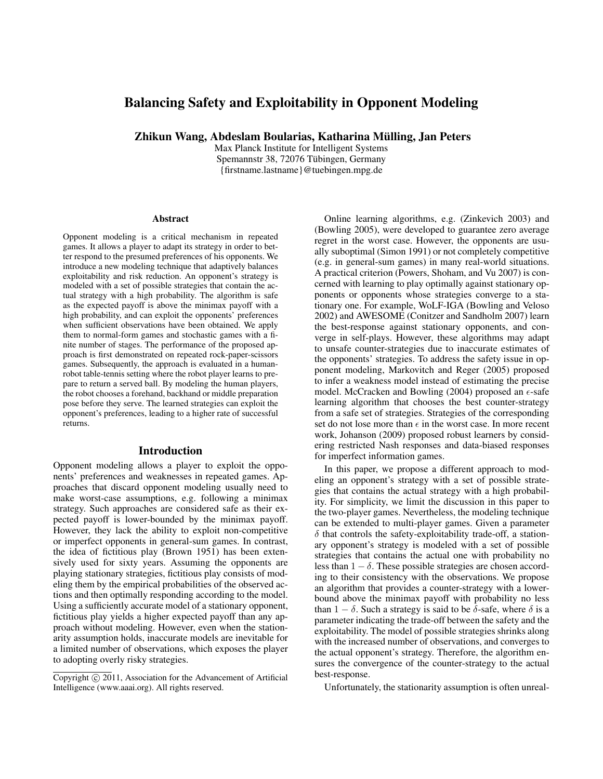# Balancing Safety and Exploitability in Opponent Modeling

Zhikun Wang, Abdeslam Boularias, Katharina Mülling, Jan Peters

Max Planck Institute for Intelligent Systems Spemannstr 38, 72076 Tübingen, Germany {firstname.lastname}@tuebingen.mpg.de

#### **Abstract**

Opponent modeling is a critical mechanism in repeated games. It allows a player to adapt its strategy in order to better respond to the presumed preferences of his opponents. We introduce a new modeling technique that adaptively balances exploitability and risk reduction. An opponent's strategy is modeled with a set of possible strategies that contain the actual strategy with a high probability. The algorithm is safe as the expected payoff is above the minimax payoff with a high probability, and can exploit the opponents' preferences when sufficient observations have been obtained. We apply them to normal-form games and stochastic games with a finite number of stages. The performance of the proposed approach is first demonstrated on repeated rock-paper-scissors games. Subsequently, the approach is evaluated in a humanrobot table-tennis setting where the robot player learns to prepare to return a served ball. By modeling the human players, the robot chooses a forehand, backhand or middle preparation pose before they serve. The learned strategies can exploit the opponent's preferences, leading to a higher rate of successful returns.

### **Introduction**

Opponent modeling allows a player to exploit the opponents' preferences and weaknesses in repeated games. Approaches that discard opponent modeling usually need to make worst-case assumptions, e.g. following a minimax strategy. Such approaches are considered safe as their expected payoff is lower-bounded by the minimax payoff. However, they lack the ability to exploit non-competitive or imperfect opponents in general-sum games. In contrast, the idea of fictitious play (Brown 1951) has been extensively used for sixty years. Assuming the opponents are playing stationary strategies, fictitious play consists of modeling them by the empirical probabilities of the observed actions and then optimally responding according to the model. Using a sufficiently accurate model of a stationary opponent, fictitious play yields a higher expected payoff than any approach without modeling. However, even when the stationarity assumption holds, inaccurate models are inevitable for a limited number of observations, which exposes the player to adopting overly risky strategies.

Online learning algorithms, e.g. (Zinkevich 2003) and (Bowling 2005), were developed to guarantee zero average regret in the worst case. However, the opponents are usually suboptimal (Simon 1991) or not completely competitive (e.g. in general-sum games) in many real-world situations. A practical criterion (Powers, Shoham, and Vu 2007) is concerned with learning to play optimally against stationary opponents or opponents whose strategies converge to a stationary one. For example, WoLF-IGA (Bowling and Veloso 2002) and AWESOME (Conitzer and Sandholm 2007) learn the best-response against stationary opponents, and converge in self-plays. However, these algorithms may adapt to unsafe counter-strategies due to inaccurate estimates of the opponents' strategies. To address the safety issue in opponent modeling, Markovitch and Reger (2005) proposed to infer a weakness model instead of estimating the precise model. McCracken and Bowling (2004) proposed an  $\epsilon$ -safe learning algorithm that chooses the best counter-strategy from a safe set of strategies. Strategies of the corresponding set do not lose more than  $\epsilon$  in the worst case. In more recent work, Johanson (2009) proposed robust learners by considering restricted Nash responses and data-biased responses for imperfect information games.

In this paper, we propose a different approach to modeling an opponent's strategy with a set of possible strategies that contains the actual strategy with a high probability. For simplicity, we limit the discussion in this paper to the two-player games. Nevertheless, the modeling technique can be extended to multi-player games. Given a parameter  $\delta$  that controls the safety-exploitability trade-off, a stationary opponent's strategy is modeled with a set of possible strategies that contains the actual one with probability no less than  $1 - \delta$ . These possible strategies are chosen according to their consistency with the observations. We propose an algorithm that provides a counter-strategy with a lowerbound above the minimax payoff with probability no less than  $1 - \delta$ . Such a strategy is said to be  $\delta$ -safe, where  $\delta$  is a parameter indicating the trade-off between the safety and the exploitability. The model of possible strategies shrinks along with the increased number of observations, and converges to the actual opponent's strategy. Therefore, the algorithm ensures the convergence of the counter-strategy to the actual best-response.

Unfortunately, the stationarity assumption is often unreal-

Copyright (c) 2011, Association for the Advancement of Artificial Intelligence (www.aaai.org). All rights reserved.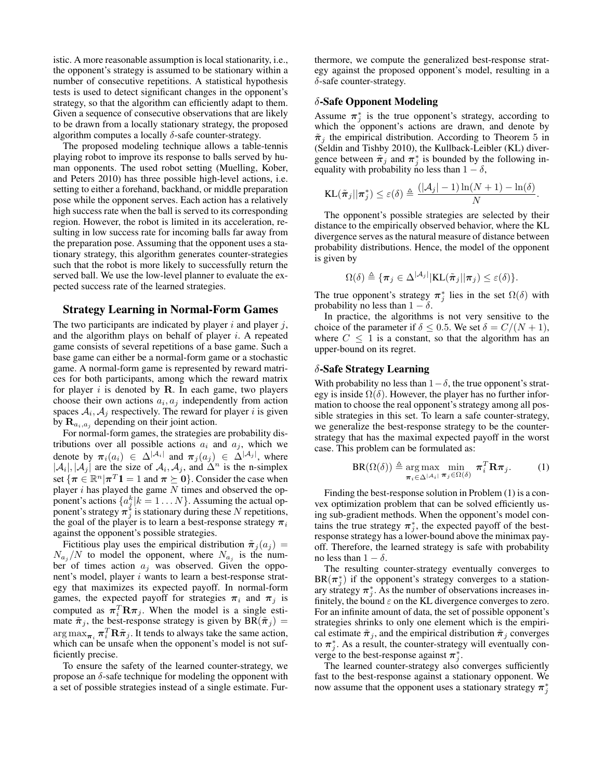istic. A more reasonable assumption is local stationarity, i.e., the opponent's strategy is assumed to be stationary within a number of consecutive repetitions. A statistical hypothesis tests is used to detect significant changes in the opponent's strategy, so that the algorithm can efficiently adapt to them. Given a sequence of consecutive observations that are likely to be drawn from a locally stationary strategy, the proposed algorithm computes a locally  $\delta$ -safe counter-strategy.

The proposed modeling technique allows a table-tennis playing robot to improve its response to balls served by human opponents. The used robot setting (Muelling, Kober, and Peters 2010) has three possible high-level actions, i.e. setting to either a forehand, backhand, or middle preparation pose while the opponent serves. Each action has a relatively high success rate when the ball is served to its corresponding region. However, the robot is limited in its acceleration, resulting in low success rate for incoming balls far away from the preparation pose. Assuming that the opponent uses a stationary strategy, this algorithm generates counter-strategies such that the robot is more likely to successfully return the served ball. We use the low-level planner to evaluate the expected success rate of the learned strategies.

## Strategy Learning in Normal-Form Games

The two participants are indicated by player  $i$  and player  $j$ , and the algorithm plays on behalf of player  $i$ . A repeated game consists of several repetitions of a base game. Such a base game can either be a normal-form game or a stochastic game. A normal-form game is represented by reward matrices for both participants, among which the reward matrix for player  $i$  is denoted by  $R$ . In each game, two players choose their own actions  $a_i, a_j$  independently from action spaces  $A_i$ ,  $A_j$  respectively. The reward for player *i* is given by  $\mathbf{R}_{a_i,a_j}$  depending on their joint action.

For normal-form games, the strategies are probability distributions over all possible actions  $a_i$  and  $a_j$ , which we denote by  $\pi_i(a_i) \in \Delta^{|\mathcal{A}_i|}$  and  $\pi_j(a_j) \in \Delta^{|\mathcal{A}_j|}$ , where  $|\mathcal{A}_i|, |\mathcal{A}_j|$  are the size of  $\mathcal{A}_i, \mathcal{A}_j$ , and  $\Delta^n$  is the n-simplex set  $\{\boldsymbol{\pi} \in \mathbb{R}^n | \boldsymbol{\pi}^T\mathbf{1} = 1 \text{ and } \boldsymbol{\pi} \succeq \mathbf{0}\}$ . Consider the case when player  $i$  has played the game  $N$  times and observed the opponent's actions  $\{a_j^k | k = 1...N\}$ . Assuming the actual opponent's strategy  $\pi_j^*$  is stationary during these N repetitions, the goal of the player is to learn a best-response strategy  $\pi_i$ against the opponent's possible strategies.

Fictitious play uses the empirical distribution  $\tilde{\pi}_i(a_i)$  =  $N_{a_j}/N$  to model the opponent, where  $N_{a_j}$  is the number of times action  $a_j$  was observed. Given the opponent's model, player i wants to learn a best-response strategy that maximizes its expected payoff. In normal-form games, the expected payoff for strategies  $\pi_i$  and  $\pi_j$  is computed as  $\pi_i^T \mathbf{R} \pi_j$ . When the model is a single estimate  $\tilde{\pi}_j$ , the best-response strategy is given by  $BR(\tilde{\pi}_j)$  =  $\argmax_{\boldsymbol{\pi}_i} \boldsymbol{\pi}_i^T \mathbf{R} \tilde{\boldsymbol{\pi}}_j.$  It tends to always take the same action, which can be unsafe when the opponent's model is not sufficiently precise.

To ensure the safety of the learned counter-strategy, we propose an  $\delta$ -safe technique for modeling the opponent with a set of possible strategies instead of a single estimate. Fur-

thermore, we compute the generalized best-response strategy against the proposed opponent's model, resulting in a  $\delta$ -safe counter-strategy.

## δ-Safe Opponent Modeling

Assume  $\pi_j^*$  is the true opponent's strategy, according to which the opponent's actions are drawn, and denote by  $\tilde{\pi}_i$  the empirical distribution. According to Theorem 5 in (Seldin and Tishby 2010), the Kullback-Leibler (KL) divergence between  $\tilde{\pi}_j$  and  $\pi_j^*$  is bounded by the following inequality with probability no less than  $1 - \delta$ ,

$$
\text{KL}(\tilde{\boldsymbol{\pi}}_j || \boldsymbol{\pi}_j^*) \le \varepsilon(\delta) \triangleq \frac{(|\mathcal{A}_j| - 1) \ln(N + 1) - \ln(\delta)}{N}
$$

.

The opponent's possible strategies are selected by their distance to the empirically observed behavior, where the KL divergence serves as the natural measure of distance between probability distributions. Hence, the model of the opponent is given by

$$
\Omega(\delta) \triangleq \{ \boldsymbol{\pi}_j \in \Delta^{|\mathcal{A}_j|} | \text{KL}(\boldsymbol{\tilde{\pi}}_j || \boldsymbol{\pi}_j) \leq \varepsilon(\delta) \}.
$$

The true opponent's strategy  $\pi_j^*$  lies in the set  $\Omega(\delta)$  with probability no less than  $1 - \delta$ .

In practice, the algorithms is not very sensitive to the choice of the parameter if  $\delta \leq 0.5$ . We set  $\delta = C/(N+1)$ , where  $C \leq 1$  is a constant, so that the algorithm has an upper-bound on its regret.

#### δ-Safe Strategy Learning

With probability no less than  $1-\delta$ , the true opponent's strategy is inside  $\Omega(\delta)$ . However, the player has no further information to choose the real opponent's strategy among all possible strategies in this set. To learn a safe counter-strategy, we generalize the best-response strategy to be the counterstrategy that has the maximal expected payoff in the worst case. This problem can be formulated as:

$$
BR(\Omega(\delta)) \triangleq \underset{\boldsymbol{\pi}_i \in \Delta^{|\mathcal{A}_i|}}{\arg \max} \underset{\boldsymbol{\pi}_j \in \Omega(\delta)}{\min} \boldsymbol{\pi}_i^T \mathbf{R} \boldsymbol{\pi}_j. \tag{1}
$$

Finding the best-response solution in Problem (1) is a convex optimization problem that can be solved efficiently using sub-gradient methods. When the opponent's model contains the true strategy  $\pi_j^*$ , the expected payoff of the bestresponse strategy has a lower-bound above the minimax payoff. Therefore, the learned strategy is safe with probability no less than  $1 - \delta$ .

The resulting counter-strategy eventually converges to  $BR(\pi_j^*)$  if the opponent's strategy converges to a stationary strategy  $\pi_j^*$ . As the number of observations increases infinitely, the bound  $\varepsilon$  on the KL divergence converges to zero. For an infinite amount of data, the set of possible opponent's strategies shrinks to only one element which is the empirical estimate  $\tilde{\pi}_j$ , and the empirical distribution  $\tilde{\pi}_j$  converges to  $\pi_j^*$ . As a result, the counter-strategy will eventually converge to the best-response against  $\pi_j^*$ .

The learned counter-strategy also converges sufficiently fast to the best-response against a stationary opponent. We now assume that the opponent uses a stationary strategy  $\pi_j^*$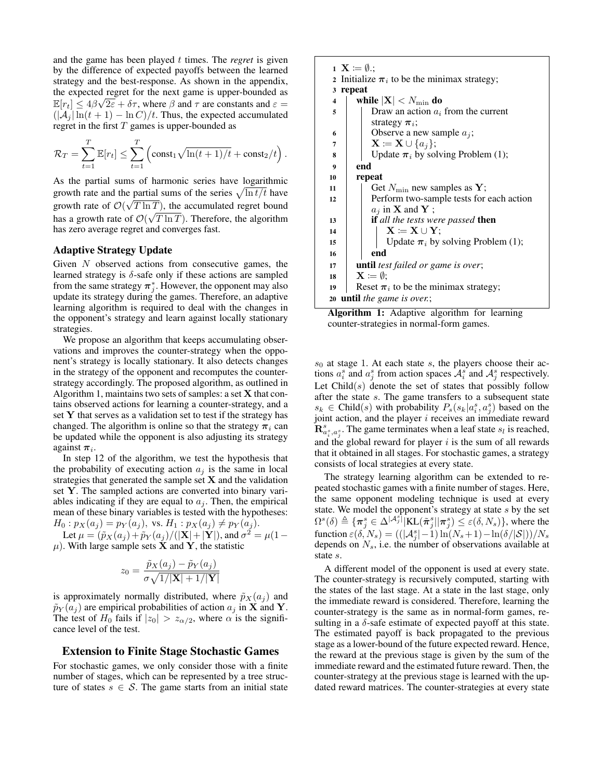and the game has been played t times. The *regret* is given by the difference of expected payoffs between the learned strategy and the best-response. As shown in the appendix, the expected regret for the next game is upper-bounded as  $\overline{=}$  $\mathbb{E}[r_t] \leq 4\beta\sqrt{2\varepsilon} + \delta\tau$ , where  $\beta$  and  $\tau$  are constants and  $\varepsilon =$  $(|\mathcal{A}_i| \ln(t+1) - \ln C)/t$ . Thus, the expected accumulated regret in the first  $T$  games is upper-bounded as

$$
\mathcal{R}_T = \sum_{t=1}^T \mathbb{E}[r_t] \le \sum_{t=1}^T \left( \text{const}_1 \sqrt{\ln(t+1)/t} + \text{const}_2/t \right).
$$

As the partial sums of harmonic series have logarithmic growth rate and the partial sums of the series  $\sqrt{\ln t/t}$  have growth rate of  $\mathcal{O}(\sqrt{T \ln T})$ , the accumulated regret bound has a growth rate of  $\mathcal{O}(\sqrt{T \ln T})$ . Therefore, the algorithm has zero average regret and converges fast.

## Adaptive Strategy Update

Given  $N$  observed actions from consecutive games, the learned strategy is  $\delta$ -safe only if these actions are sampled from the same strategy  $\pi_j^*$ . However, the opponent may also update its strategy during the games. Therefore, an adaptive learning algorithm is required to deal with the changes in the opponent's strategy and learn against locally stationary strategies.

We propose an algorithm that keeps accumulating observations and improves the counter-strategy when the opponent's strategy is locally stationary. It also detects changes in the strategy of the opponent and recomputes the counterstrategy accordingly. The proposed algorithm, as outlined in Algorithm 1, maintains two sets of samples: a set  $X$  that contains observed actions for learning a counter-strategy, and a set Y that serves as a validation set to test if the strategy has changed. The algorithm is online so that the strategy  $\pi_i$  can be updated while the opponent is also adjusting its strategy against  $\pi_i$ .

In step 12 of the algorithm, we test the hypothesis that the probability of executing action  $a_i$  is the same in local strategies that generated the sample set  $X$  and the validation set Y. The sampled actions are converted into binary variables indicating if they are equal to  $a_j$ . Then, the empirical mean of these binary variables is tested with the hypotheses:  $H_0: p_X(a_i) = p_Y(a_i)$ , vs.  $H_1: p_X(a_i) \neq p_Y(a_i)$ .

Let  $\mu = (\tilde{p}_X(a_j) + \tilde{p}_Y(a_j) / (|\mathbf{X}| + |\mathbf{Y}|),$  and  $\sigma^2 = \mu(1 - \mathbf{Y})$  $\mu$ ). With large sample sets  $\check{\textbf{X}}$  and  $\check{\textbf{Y}}$ , the statistic

$$
z_0 = \frac{\tilde{p}_X(a_j) - \tilde{p}_Y(a_j)}{\sigma \sqrt{1/|\mathbf{X}| + 1/|\mathbf{Y}|}}
$$

is approximately normally distributed, where  $\tilde{p}_X(a_j)$  and  $\tilde{p}_Y(a_j)$  are empirical probabilities of action  $a_j$  in **X** and **Y**. The test of  $H_0$  fails if  $|z_0| > z_{\alpha/2}$ , where  $\alpha$  is the significance level of the test.

## Extension to Finite Stage Stochastic Games

For stochastic games, we only consider those with a finite number of stages, which can be represented by a tree structure of states  $s \in \mathcal{S}$ . The game starts from an initial state

|                                                  | $\mathbf{1} \mathbf{X} \coloneqq \emptyset$ .   |  |  |  |  |  |
|--------------------------------------------------|-------------------------------------------------|--|--|--|--|--|
| 2 Initialize $\pi_i$ to be the minimax strategy; |                                                 |  |  |  |  |  |
| repeat<br>3                                      |                                                 |  |  |  |  |  |
| $\overline{\mathbf{4}}$                          | while $ \mathbf{X}  < N_{\text{min}}$ do        |  |  |  |  |  |
| 5                                                | Draw an action $a_i$ from the current           |  |  |  |  |  |
|                                                  |                                                 |  |  |  |  |  |
|                                                  | strategy $\pi_i$ ;                              |  |  |  |  |  |
| 6                                                | Observe a new sample $a_i$ ;                    |  |  |  |  |  |
| 7                                                | $\mathbf{X} \coloneqq \mathbf{X} \cup \{a_i\};$ |  |  |  |  |  |
| 8                                                | Update $\pi_i$ by solving Problem (1);          |  |  |  |  |  |
| $\boldsymbol{9}$                                 | end                                             |  |  |  |  |  |
| 10                                               | repeat                                          |  |  |  |  |  |
| 11                                               | Get $N_{\min}$ new samples as Y;                |  |  |  |  |  |
| 12                                               | Perform two-sample tests for each action        |  |  |  |  |  |
|                                                  | $a_j$ in <b>X</b> and <b>Y</b> ;                |  |  |  |  |  |
| 13                                               | if all the tests were passed then               |  |  |  |  |  |
| 14                                               | $X := X \cup Y;$                                |  |  |  |  |  |
| 15                                               | Update $\pi_i$ by solving Problem (1);          |  |  |  |  |  |
| 16                                               | end                                             |  |  |  |  |  |
| 17                                               | <b>until</b> test failed or game is over;       |  |  |  |  |  |
| 18                                               | $\mathbf{X} \coloneqq \emptyset$ :              |  |  |  |  |  |
| 19                                               | Reset $\pi_i$ to be the minimax strategy;       |  |  |  |  |  |
| 20                                               | <b>until</b> the game is over.;                 |  |  |  |  |  |

Algorithm 1: Adaptive algorithm for learning counter-strategies in normal-form games.

 $s<sub>0</sub>$  at stage 1. At each state s, the players choose their actions  $a_i^s$  and  $a_j^s$  from action spaces  $\mathcal{A}_i^s$  and  $\mathcal{A}_j^s$  respectively. Let  $Child(s)$  denote the set of states that possibly follow after the state s. The game transfers to a subsequent state  $s_k \in \text{Child}(s)$  with probability  $P_s(s_k|a_i^s, a_j^s)$  based on the joint action, and the player  $i$  receives an immediate reward  $\mathbf{R}_{a_i^s, a_j^s}^s$ . The game terminates when a leaf state  $s_l$  is reached, and the global reward for player  $i$  is the sum of all rewards that it obtained in all stages. For stochastic games, a strategy consists of local strategies at every state.

The strategy learning algorithm can be extended to repeated stochastic games with a finite number of stages. Here, the same opponent modeling technique is used at every state. We model the opponent's strategy at state s by the set  $\Omega^{s}(\delta) \triangleq {\{\pi_j^s \in \Delta^{|\mathcal{A}_j^s|} | \text{KL}(\tilde{\pi}_j^s | \pi_j^s) \leq \varepsilon(\delta, N_s) \}},$  where the function  $\varepsilon(\delta, N_s) = ((|\mathcal{A}_j^s|-1)\ln(N_s+1)-\ln(\delta/|\mathcal{S}|))/N_s$ depends on  $N_s$ , i.e. the number of observations available at state s.

A different model of the opponent is used at every state. The counter-strategy is recursively computed, starting with the states of the last stage. At a state in the last stage, only the immediate reward is considered. Therefore, learning the counter-strategy is the same as in normal-form games, resulting in a  $\delta$ -safe estimate of expected payoff at this state. The estimated payoff is back propagated to the previous stage as a lower-bound of the future expected reward. Hence, the reward at the previous stage is given by the sum of the immediate reward and the estimated future reward. Then, the counter-strategy at the previous stage is learned with the updated reward matrices. The counter-strategies at every state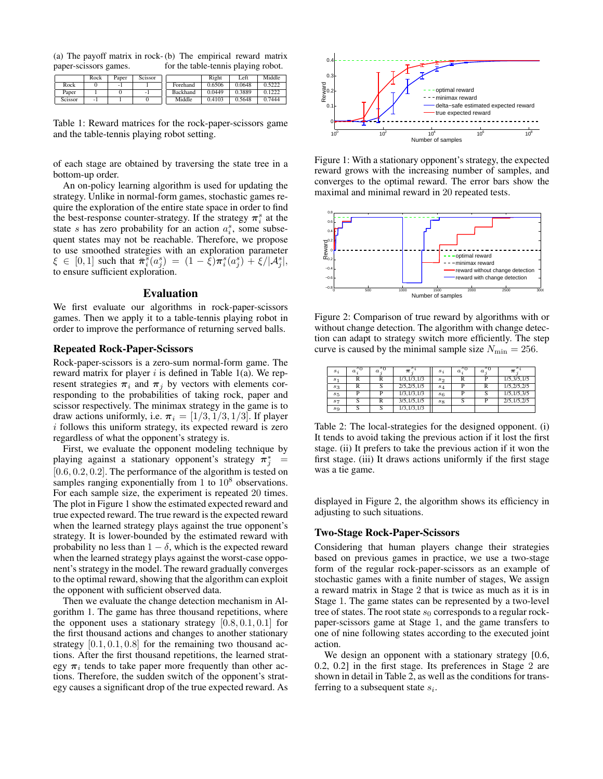(a) The payoff matrix in rock-(b) The empirical reward matrix paper-scissors games. for the table-tennis playing robot.

|         | Rock | Paper | Scissor |                 | Right  | Left   | Middle |
|---------|------|-------|---------|-----------------|--------|--------|--------|
| Rock    |      | - 1   |         | Forehand        | 0.6506 | 0.0648 | 0.5222 |
| Paper   |      |       | - 1     | <b>Backhand</b> | 0.0449 | 0.3889 | 0.1222 |
| Scissor | -    |       |         | Middle          | 0.4103 | 0.5648 | 0.7444 |

Table 1: Reward matrices for the rock-paper-scissors game and the table-tennis playing robot setting.

of each stage are obtained by traversing the state tree in a bottom-up order.

An on-policy learning algorithm is used for updating the strategy. Unlike in normal-form games, stochastic games require the exploration of the entire state space in order to find the best-response counter-strategy. If the strategy  $\pi_i^s$  at the state s has zero probability for an action  $a_i^s$ , some subsequent states may not be reachable. Therefore, we propose to use smoothed strategies with an exploration parameter  $\xi \in [0,1]$  such that  $\bar{\pi}_i^s(a_j^s) = (1 - \bar{\xi})\pi_i^s(a_j^s) + \xi/|\mathcal{A}_j^s|,$ to ensure sufficient exploration.

#### Evaluation

We first evaluate our algorithms in rock-paper-scissors games. Then we apply it to a table-tennis playing robot in order to improve the performance of returning served balls.

#### Repeated Rock-Paper-Scissors

Rock-paper-scissors is a zero-sum normal-form game. The reward matrix for player  $i$  is defined in Table 1(a). We represent strategies  $\pi_i$  and  $\pi_j$  by vectors with elements corresponding to the probabilities of taking rock, paper and scissor respectively. The minimax strategy in the game is to draw actions uniformly, i.e.  $\pi_i = [1/3, 1/3, 1/3]$ . If player  $i$  follows this uniform strategy, its expected reward is zero regardless of what the opponent's strategy is.

First, we evaluate the opponent modeling technique by playing against a stationary opponent's strategy  $\pi_j^*$  =  $[0.6, 0.2, 0.2]$ . The performance of the algorithm is tested on samples ranging exponentially from 1 to  $10<sup>8</sup>$  observations. For each sample size, the experiment is repeated 20 times. The plot in Figure 1 show the estimated expected reward and true expected reward. The true reward is the expected reward when the learned strategy plays against the true opponent's strategy. It is lower-bounded by the estimated reward with probability no less than  $1 - \delta$ , which is the expected reward when the learned strategy plays against the worst-case opponent's strategy in the model. The reward gradually converges to the optimal reward, showing that the algorithm can exploit the opponent with sufficient observed data.

Then we evaluate the change detection mechanism in Algorithm 1. The game has three thousand repetitions, where the opponent uses a stationary strategy  $[0.8, 0.1, 0.1]$  for the first thousand actions and changes to another stationary strategy  $[0.1, 0.1, 0.8]$  for the remaining two thousand actions. After the first thousand repetitions, the learned strategy  $\pi_i$  tends to take paper more frequently than other actions. Therefore, the sudden switch of the opponent's strategy causes a significant drop of the true expected reward. As



Figure 1: With a stationary opponent's strategy, the expected reward grows with the increasing number of samples, and converges to the optimal reward. The error bars show the maximal and minimal reward in 20 repeated tests.



Figure 2: Comparison of true reward by algorithms with or without change detection. The algorithm with change detection can adapt to strategy switch more efficiently. The step curve is caused by the minimal sample size  $N_{\text{min}} = 256$ .

| $s_i$   | sη<br>$a$ . | $s_0$<br>$\boldsymbol{a}$ | π             | $s_i$          | sη<br>$\alpha$ . | ້ັບ<br>$\boldsymbol{a}$ | $\pi$         |
|---------|-------------|---------------------------|---------------|----------------|------------------|-------------------------|---------------|
| $s_1$   | R           | R                         | 1/3, 1/3, 1/3 | $s_2$          | R                |                         | 1/5, 3/5, 1/5 |
| $s_3$   | R           | C.                        | 2/5,2/5,1/5   | $s_4$          | D                | R                       | 1/5,2/5,2/5   |
| $s_{5}$ | D           |                           | 1/3, 1/3, 1/3 | s <sub>6</sub> | D                | C.                      | 1/5, 1/5, 3/5 |
| $s_7$   | S           | R                         | 3/5,1/5,1/5   | $s_{8}$        | S                |                         | 2/5, 1/5, 2/5 |
| $s_{9}$ |             | S                         | 1/3, 1/3, 1/3 |                |                  |                         |               |
|         |             |                           |               |                |                  |                         |               |

Table 2: The local-strategies for the designed opponent. (i) It tends to avoid taking the previous action if it lost the first stage. (ii) It prefers to take the previous action if it won the first stage. (iii) It draws actions uniformly if the first stage was a tie game.

displayed in Figure 2, the algorithm shows its efficiency in adjusting to such situations.

#### Two-Stage Rock-Paper-Scissors

Considering that human players change their strategies based on previous games in practice, we use a two-stage form of the regular rock-paper-scissors as an example of stochastic games with a finite number of stages, We assign a reward matrix in Stage 2 that is twice as much as it is in Stage 1. The game states can be represented by a two-level tree of states. The root state  $s_0$  corresponds to a regular rockpaper-scissors game at Stage 1, and the game transfers to one of nine following states according to the executed joint action.

We design an opponent with a stationary strategy [0.6, 0.2, 0.2] in the first stage. Its preferences in Stage 2 are shown in detail in Table 2, as well as the conditions for transferring to a subsequent state  $s_i$ .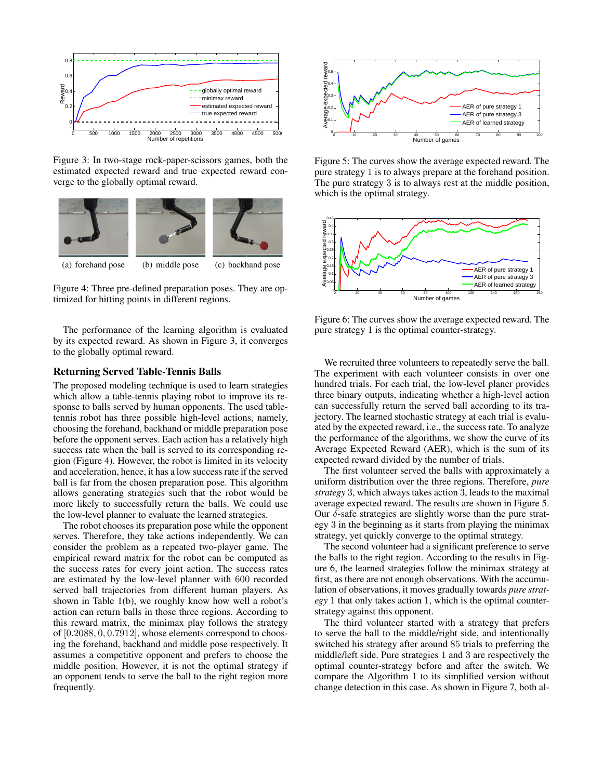

Figure 3: In two-stage rock-paper-scissors games, both the estimated expected reward and true expected reward converge to the globally optimal reward.



Figure 4: Three pre-defined preparation poses. They are optimized for hitting points in different regions.

The performance of the learning algorithm is evaluated by its expected reward. As shown in Figure 3, it converges to the globally optimal reward.

## Returning Served Table-Tennis Balls

The proposed modeling technique is used to learn strategies which allow a table-tennis playing robot to improve its response to balls served by human opponents. The used tabletennis robot has three possible high-level actions, namely, choosing the forehand, backhand or middle preparation pose before the opponent serves. Each action has a relatively high success rate when the ball is served to its corresponding region (Figure 4). However, the robot is limited in its velocity and acceleration, hence, it has a low success rate if the served ball is far from the chosen preparation pose. This algorithm allows generating strategies such that the robot would be more likely to successfully return the balls. We could use the low-level planner to evaluate the learned strategies.

The robot chooses its preparation pose while the opponent serves. Therefore, they take actions independently. We can consider the problem as a repeated two-player game. The empirical reward matrix for the robot can be computed as the success rates for every joint action. The success rates are estimated by the low-level planner with 600 recorded served ball trajectories from different human players. As shown in Table 1(b), we roughly know how well a robot's action can return balls in those three regions. According to this reward matrix, the minimax play follows the strategy of [0.2088, 0, 0.7912], whose elements correspond to choosing the forehand, backhand and middle pose respectively. It assumes a competitive opponent and prefers to choose the middle position. However, it is not the optimal strategy if an opponent tends to serve the ball to the right region more frequently.



Figure 5: The curves show the average expected reward. The pure strategy 1 is to always prepare at the forehand position. The pure strategy 3 is to always rest at the middle position, which is the optimal strategy.



Figure 6: The curves show the average expected reward. The pure strategy 1 is the optimal counter-strategy.

We recruited three volunteers to repeatedly serve the ball. The experiment with each volunteer consists in over one hundred trials. For each trial, the low-level planer provides three binary outputs, indicating whether a high-level action can successfully return the served ball according to its trajectory. The learned stochastic strategy at each trial is evaluated by the expected reward, i.e., the success rate. To analyze the performance of the algorithms, we show the curve of its Average Expected Reward (AER), which is the sum of its expected reward divided by the number of trials.

The first volunteer served the balls with approximately a uniform distribution over the three regions. Therefore, *pure strategy* 3, which always takes action 3, leads to the maximal average expected reward. The results are shown in Figure 5. Our δ-safe strategies are slightly worse than the pure strategy 3 in the beginning as it starts from playing the minimax strategy, yet quickly converge to the optimal strategy.

The second volunteer had a significant preference to serve the balls to the right region. According to the results in Figure 6, the learned strategies follow the minimax strategy at first, as there are not enough observations. With the accumulation of observations, it moves gradually towards *pure strategy* 1 that only takes action 1, which is the optimal counterstrategy against this opponent.

The third volunteer started with a strategy that prefers to serve the ball to the middle/right side, and intentionally switched his strategy after around 85 trials to preferring the middle/left side. Pure strategies 1 and 3 are respectively the optimal counter-strategy before and after the switch. We compare the Algorithm 1 to its simplified version without change detection in this case. As shown in Figure 7, both al-